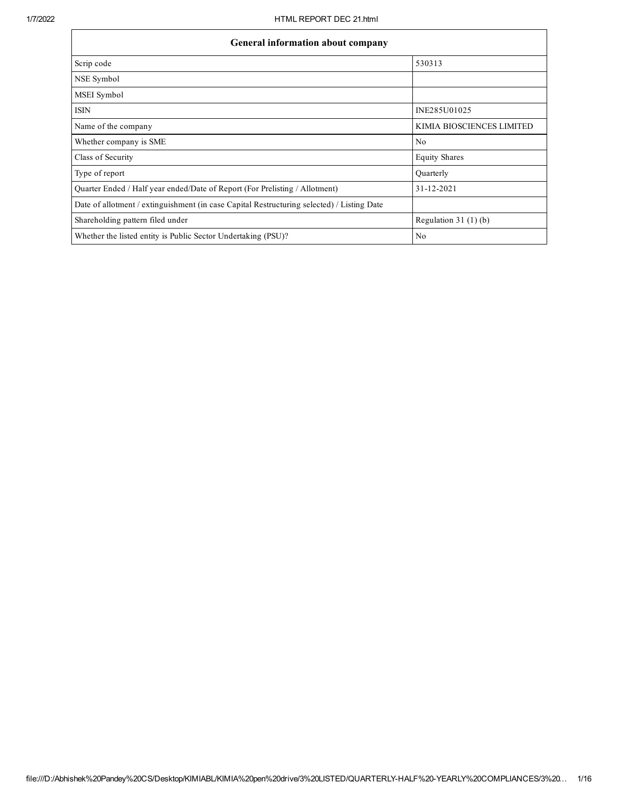$\mathbf{r}$ 

٦

| <b>General information about company</b>                                                   |                           |  |  |  |  |  |
|--------------------------------------------------------------------------------------------|---------------------------|--|--|--|--|--|
| Scrip code                                                                                 | 530313                    |  |  |  |  |  |
| NSE Symbol                                                                                 |                           |  |  |  |  |  |
| MSEI Symbol                                                                                |                           |  |  |  |  |  |
| <b>ISIN</b>                                                                                | INE285U01025              |  |  |  |  |  |
| Name of the company                                                                        | KIMIA BIOSCIENCES LIMITED |  |  |  |  |  |
| Whether company is SME                                                                     | N <sub>0</sub>            |  |  |  |  |  |
| Class of Security                                                                          | <b>Equity Shares</b>      |  |  |  |  |  |
| Type of report                                                                             | Quarterly                 |  |  |  |  |  |
| Quarter Ended / Half year ended/Date of Report (For Prelisting / Allotment)                | 31-12-2021                |  |  |  |  |  |
| Date of allotment / extinguishment (in case Capital Restructuring selected) / Listing Date |                           |  |  |  |  |  |
| Shareholding pattern filed under                                                           | Regulation $31(1)(b)$     |  |  |  |  |  |
| Whether the listed entity is Public Sector Undertaking (PSU)?                              | N <sub>0</sub>            |  |  |  |  |  |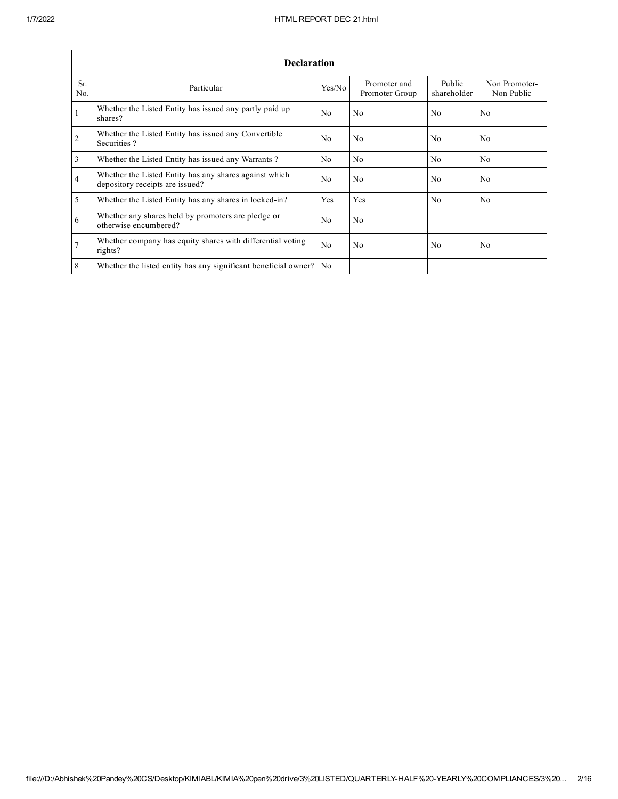|                | <b>Declaration</b>                                                                        |                |                                |                       |                             |
|----------------|-------------------------------------------------------------------------------------------|----------------|--------------------------------|-----------------------|-----------------------------|
| Sr.<br>No.     | Particular                                                                                | Yes/No         | Promoter and<br>Promoter Group | Public<br>shareholder | Non Promoter-<br>Non Public |
| $\mathbf{1}$   | Whether the Listed Entity has issued any partly paid up<br>shares?                        | N <sub>0</sub> | No.                            | N <sub>0</sub>        | No.                         |
| 2              | Whether the Listed Entity has issued any Convertible<br>Securities?                       | N <sub>0</sub> | No.                            | N <sub>0</sub>        | No.                         |
| $\overline{3}$ | Whether the Listed Entity has issued any Warrants?                                        | N <sub>0</sub> | N <sub>0</sub>                 | N <sub>0</sub>        | N <sub>0</sub>              |
| $\overline{4}$ | Whether the Listed Entity has any shares against which<br>depository receipts are issued? | N <sub>0</sub> | No                             | N <sub>0</sub>        | No.                         |
| $\overline{5}$ | Whether the Listed Entity has any shares in locked-in?                                    | Yes            | Yes                            | No                    | N <sub>0</sub>              |
| 6              | Whether any shares held by promoters are pledge or<br>otherwise encumbered?               | N <sub>0</sub> | No.                            |                       |                             |
| $\overline{7}$ | Whether company has equity shares with differential voting<br>rights?                     | No             | No.                            | N <sub>0</sub>        | No                          |
| 8              | Whether the listed entity has any significant beneficial owner?                           | N <sub>0</sub> |                                |                       |                             |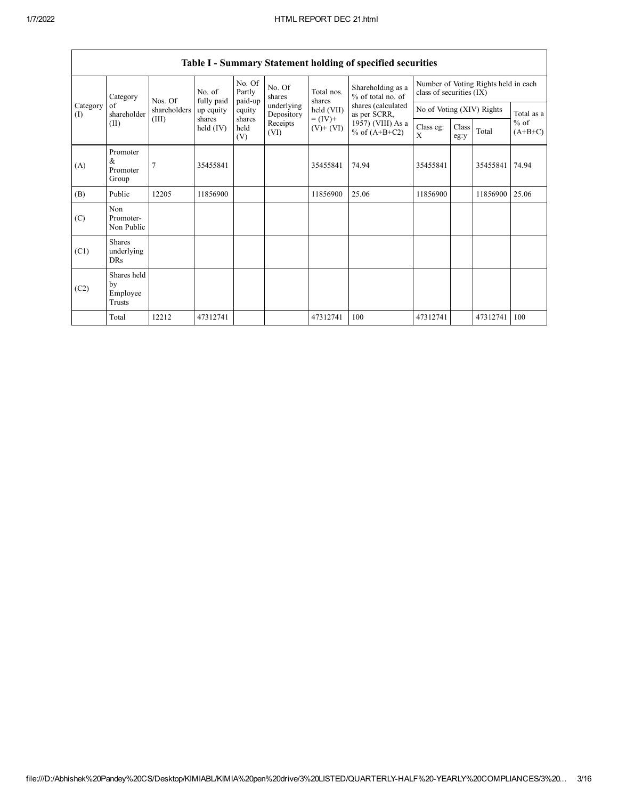|                                   | rasiv resultation y statement horaing or specified securities |              |                       |                             |                          |                          |                                        |                                                                  |               |          |                                   |
|-----------------------------------|---------------------------------------------------------------|--------------|-----------------------|-----------------------------|--------------------------|--------------------------|----------------------------------------|------------------------------------------------------------------|---------------|----------|-----------------------------------|
| Category<br>of<br>Category<br>(I) |                                                               | Nos. Of      | No. of<br>fully paid  | No. Of<br>Partly<br>paid-up | No. Of<br>shares         | Total nos.<br>shares     | Shareholding as a<br>% of total no. of | Number of Voting Rights held in each<br>class of securities (IX) |               |          |                                   |
|                                   | shareholder                                                   | shareholders | up equity             | equity                      | underlying<br>Depository | held (VII)               | shares (calculated<br>as per SCRR,     | No of Voting (XIV) Rights                                        |               |          | Total as a<br>$%$ of<br>$(A+B+C)$ |
|                                   | (II)                                                          | (III)        | shares<br>held $(IV)$ | shares<br>held<br>(V)       | Receipts<br>(VI)         | $= (IV) +$<br>$(V)+(VI)$ | 1957) (VIII) As a<br>% of $(A+B+C2)$   | Class eg:<br>X                                                   | Class<br>eg:y | Total    |                                   |
| (A)                               | Promoter<br>&<br>Promoter<br>Group                            | 7            | 35455841              |                             |                          | 35455841                 | 74.94                                  | 35455841                                                         |               | 35455841 | 74.94                             |
| (B)                               | Public                                                        | 12205        | 11856900              |                             |                          | 11856900                 | 25.06                                  | 11856900                                                         |               | 11856900 | 25.06                             |
| (C)                               | Non<br>Promoter-<br>Non Public                                |              |                       |                             |                          |                          |                                        |                                                                  |               |          |                                   |
| (C1)                              | <b>Shares</b><br>underlying<br>DRs                            |              |                       |                             |                          |                          |                                        |                                                                  |               |          |                                   |
| (C2)                              | Shares held<br>by<br>Employee<br>Trusts                       |              |                       |                             |                          |                          |                                        |                                                                  |               |          |                                   |
|                                   | Total                                                         | 12212        | 47312741              |                             |                          | 47312741                 | 100                                    | 47312741                                                         |               | 47312741 | 100                               |

Table I - Summary Statement holding of specified securities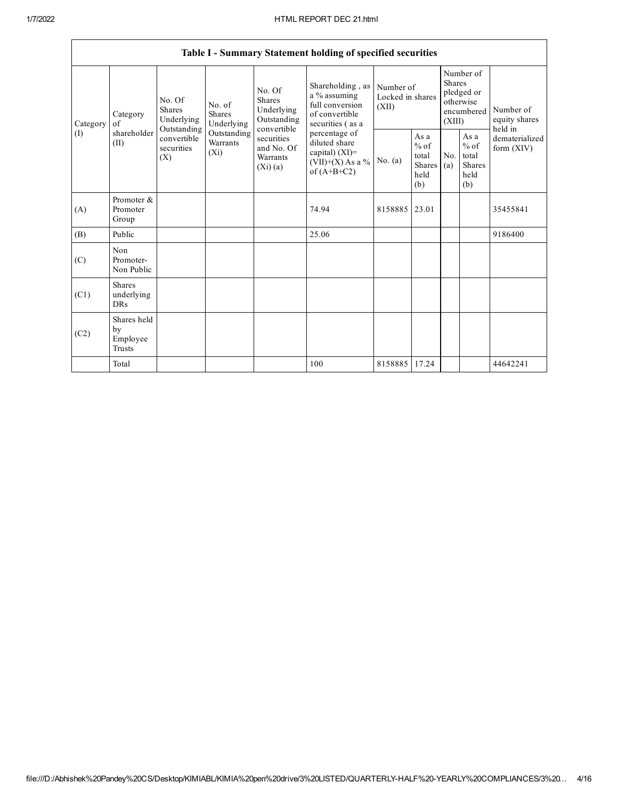٦

|      |                                                                                                                                                                                                                                                                                                                                                                                                                                                                                                                                                   |           | Table I - Summary Statement holding of specified securities |                                        |                                                  |                                                    |                                       |          |
|------|---------------------------------------------------------------------------------------------------------------------------------------------------------------------------------------------------------------------------------------------------------------------------------------------------------------------------------------------------------------------------------------------------------------------------------------------------------------------------------------------------------------------------------------------------|-----------|-------------------------------------------------------------|----------------------------------------|--------------------------------------------------|----------------------------------------------------|---------------------------------------|----------|
|      | Shareholding, as<br>No. Of<br>a % assuming<br><b>Shares</b><br>No. Of<br>full conversion<br>No. of<br>Underlying<br><b>Shares</b><br>of convertible<br><b>Shares</b><br>Category<br>Underlying<br>Outstanding<br>Underlying<br>securities (as a<br>Category<br>of<br>Outstanding<br>convertible<br>shareholder<br>Outstanding<br>percentage of<br>convertible<br>securities<br>diluted share<br>Warrants<br>(II)<br>securities<br>and No. Of<br>capital) $(XI)$ =<br>$(X_i)$<br>(X)<br>Warrants<br>$(VII)+(X)$ As a %<br>(Xi)(a)<br>of $(A+B+C2)$ |           |                                                             | Number of<br>Locked in shares<br>(XII) | <b>Shares</b><br>(XIII)                          | Number of<br>pledged or<br>otherwise<br>encumbered | Number of<br>equity shares<br>held in |          |
| (1)  |                                                                                                                                                                                                                                                                                                                                                                                                                                                                                                                                                   | No. $(a)$ | As a<br>$%$ of<br>total<br>Shares<br>held<br>(b)            | No.<br>(a)                             | As a<br>$%$ of<br>total<br>Shares<br>held<br>(b) | dematerialized<br>form $(XIV)$                     |                                       |          |
| (A)  | Promoter &<br>Promoter<br>Group                                                                                                                                                                                                                                                                                                                                                                                                                                                                                                                   |           | 74.94                                                       | 8158885                                | 23.01                                            |                                                    |                                       | 35455841 |
| (B)  | Public                                                                                                                                                                                                                                                                                                                                                                                                                                                                                                                                            |           | 25.06                                                       |                                        |                                                  |                                                    |                                       | 9186400  |
| (C)  | Non<br>Promoter-<br>Non Public                                                                                                                                                                                                                                                                                                                                                                                                                                                                                                                    |           |                                                             |                                        |                                                  |                                                    |                                       |          |
| (C1) | <b>Shares</b><br>underlying<br><b>DRs</b>                                                                                                                                                                                                                                                                                                                                                                                                                                                                                                         |           |                                                             |                                        |                                                  |                                                    |                                       |          |
| (C2) | Shares held<br>by<br>Employee<br>Trusts                                                                                                                                                                                                                                                                                                                                                                                                                                                                                                           |           |                                                             |                                        |                                                  |                                                    |                                       |          |
|      | Total                                                                                                                                                                                                                                                                                                                                                                                                                                                                                                                                             |           | 100                                                         | 8158885                                | 17.24                                            |                                                    |                                       | 44642241 |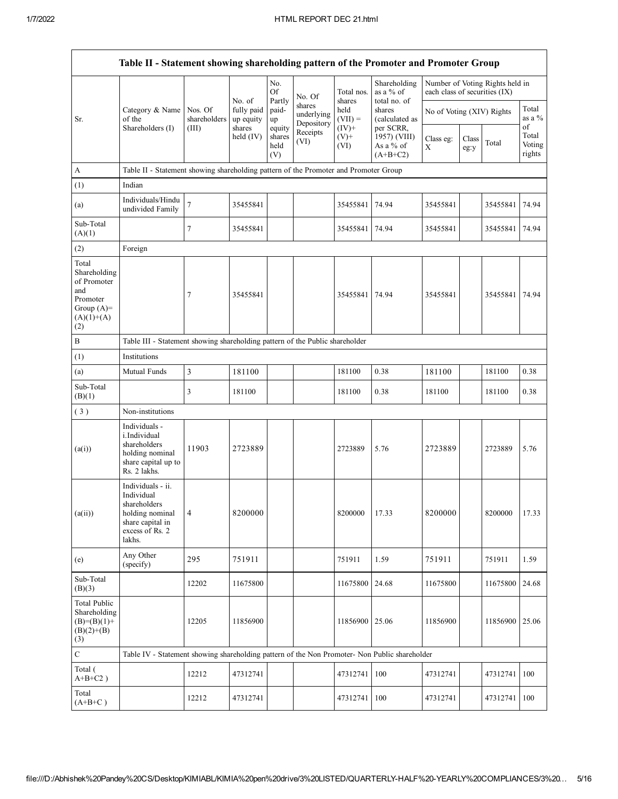|                                                                                                | Table II - Statement showing shareholding pattern of the Promoter and Promoter Group                                |                         |                         |                                 |                                    |                            |                                                      |                               |               |                                 |                                 |
|------------------------------------------------------------------------------------------------|---------------------------------------------------------------------------------------------------------------------|-------------------------|-------------------------|---------------------------------|------------------------------------|----------------------------|------------------------------------------------------|-------------------------------|---------------|---------------------------------|---------------------------------|
|                                                                                                |                                                                                                                     |                         | No. of                  | No.<br><b>Of</b><br>Partly      | No. Of                             | Total nos.<br>shares       | Shareholding<br>as a % of<br>total no. of            | each class of securities (IX) |               | Number of Voting Rights held in |                                 |
| Sr.                                                                                            | Category & Name<br>of the                                                                                           | Nos. Of<br>shareholders | fully paid<br>up equity | paid-<br>up                     | shares<br>underlying<br>Depository | held<br>$(VII) =$          | shares<br>(calculated as                             | No of Voting (XIV) Rights     |               |                                 | Total<br>as a $%$               |
|                                                                                                | Shareholders (I)                                                                                                    | (III)                   | shares<br>held $(IV)$   | equity<br>shares<br>held<br>(V) | Receipts<br>(VI)                   | $(IV)+$<br>$(V)$ +<br>(VI) | per SCRR,<br>1957) (VIII)<br>As a % of<br>$(A+B+C2)$ | Class eg:<br>X                | Class<br>eg:y | Total                           | οf<br>Total<br>Voting<br>rights |
| A                                                                                              | Table II - Statement showing shareholding pattern of the Promoter and Promoter Group                                |                         |                         |                                 |                                    |                            |                                                      |                               |               |                                 |                                 |
| (1)                                                                                            | Indian                                                                                                              |                         |                         |                                 |                                    |                            |                                                      |                               |               |                                 |                                 |
| (a)                                                                                            | Individuals/Hindu<br>undivided Family                                                                               | $\overline{7}$          | 35455841                |                                 |                                    | 35455841                   | 74.94                                                | 35455841                      |               | 35455841                        | 74.94                           |
| Sub-Total<br>(A)(1)                                                                            |                                                                                                                     | $\tau$                  | 35455841                |                                 |                                    | 35455841                   | 74.94                                                | 35455841                      |               | 35455841                        | 74.94                           |
| (2)                                                                                            | Foreign                                                                                                             |                         |                         |                                 |                                    |                            |                                                      |                               |               |                                 |                                 |
| Total<br>Shareholding<br>of Promoter<br>and<br>Promoter<br>Group $(A)=$<br>$(A)(1)+(A)$<br>(2) |                                                                                                                     | 7                       | 35455841                |                                 |                                    | 35455841 74.94             |                                                      | 35455841                      |               | 35455841                        | 74.94                           |
| $\, {\bf B}$                                                                                   | Table III - Statement showing shareholding pattern of the Public shareholder                                        |                         |                         |                                 |                                    |                            |                                                      |                               |               |                                 |                                 |
| (1)                                                                                            | Institutions                                                                                                        |                         |                         |                                 |                                    |                            |                                                      |                               |               |                                 |                                 |
| (a)                                                                                            | Mutual Funds                                                                                                        | $\mathfrak{Z}$          | 181100                  |                                 |                                    | 181100                     | 0.38                                                 | 181100                        |               | 181100                          | 0.38                            |
| Sub-Total<br>(B)(1)                                                                            |                                                                                                                     | 3                       | 181100                  |                                 |                                    | 181100                     | 0.38                                                 | 181100                        |               | 181100                          | 0.38                            |
| (3)                                                                                            | Non-institutions                                                                                                    |                         |                         |                                 |                                    |                            |                                                      |                               |               |                                 |                                 |
| (a(i))                                                                                         | Individuals -<br>i.Individual<br>shareholders<br>holding nominal<br>share capital up to<br>Rs. 2 lakhs.             | 11903                   | 2723889                 |                                 |                                    | 2723889                    | 5.76                                                 | 2723889                       |               | 2723889                         | 5.76                            |
| (a(ii))                                                                                        | Individuals - ii.<br>Individual<br>shareholders<br>holding nominal<br>share capital in<br>excess of Rs. 2<br>lakhs. | $\overline{4}$          | 8200000                 |                                 |                                    | 8200000                    | 17.33                                                | 8200000                       |               | 8200000                         | 17.33                           |
| (e)                                                                                            | Any Other<br>(specify)                                                                                              | 295                     | 751911                  |                                 |                                    | 751911                     | 1.59                                                 | 751911                        |               | 751911                          | 1.59                            |
| Sub-Total<br>(B)(3)                                                                            |                                                                                                                     | 12202                   | 11675800                |                                 |                                    | 11675800                   | 24.68                                                | 11675800                      |               | 11675800                        | 24.68                           |
| <b>Total Public</b><br>Shareholding<br>$(B)=(B)(1)+$<br>$(B)(2)+(B)$<br>(3)                    |                                                                                                                     | 12205                   | 11856900                |                                 |                                    | 11856900 25.06             |                                                      | 11856900                      |               | 11856900                        | 25.06                           |
| $\mathbf C$                                                                                    | Table IV - Statement showing shareholding pattern of the Non Promoter- Non Public shareholder                       |                         |                         |                                 |                                    |                            |                                                      |                               |               |                                 |                                 |
| Total (<br>$A+B+C2$ )                                                                          |                                                                                                                     | 12212                   | 47312741                |                                 |                                    | 47312741                   | 100                                                  | 47312741                      |               | 47312741                        | 100                             |
| Total<br>$(A+B+C)$                                                                             |                                                                                                                     | 12212                   | 47312741                |                                 |                                    | 47312741                   | 100                                                  | 47312741                      |               | 47312741                        | 100                             |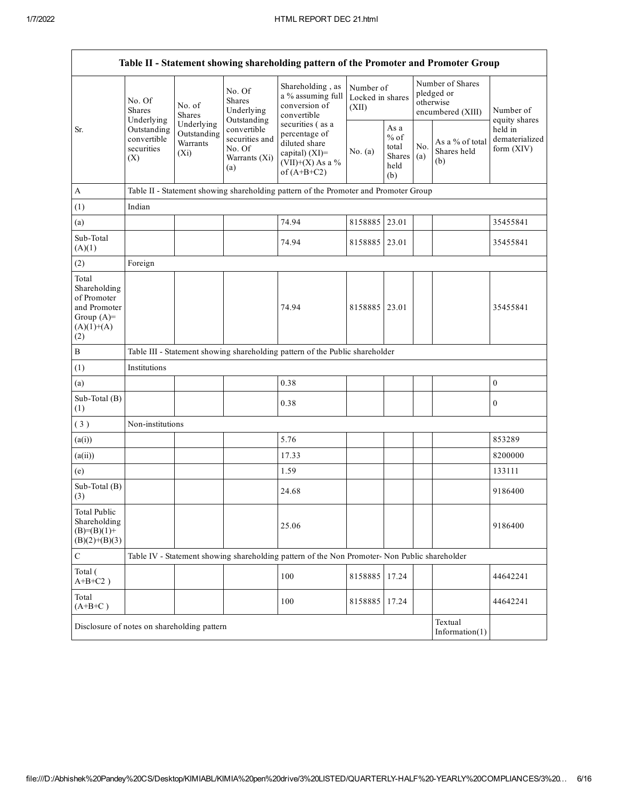|                                                                                                               |                                                |                                                                                                                           |                                                      | Table II - Statement showing shareholding pattern of the Promoter and Promoter Group          |               |                                       |                                         |                                                                  |                            |
|---------------------------------------------------------------------------------------------------------------|------------------------------------------------|---------------------------------------------------------------------------------------------------------------------------|------------------------------------------------------|-----------------------------------------------------------------------------------------------|---------------|---------------------------------------|-----------------------------------------|------------------------------------------------------------------|----------------------------|
|                                                                                                               | No. Of<br><b>Shares</b><br>Underlying          | No. of<br><b>Shares</b><br>Underlying                                                                                     | No. Of<br><b>Shares</b><br>Underlying<br>Outstanding | Shareholding, as<br>a % assuming full<br>conversion of<br>convertible                         | (XII)         | Number of<br>Locked in shares         |                                         | Number of Shares<br>pledged or<br>otherwise<br>encumbered (XIII) | Number of<br>equity shares |
| Outstanding<br>Sr.<br>Outstanding<br>convertible<br>Warrants<br>securities<br>No. Of<br>$(X_i)$<br>(X)<br>(a) | convertible<br>securities and<br>Warrants (Xi) | securities (as a<br>percentage of<br>diluted share<br>No. (a)<br>capital) $(XI)$ =<br>$(VII)+(X)$ As a %<br>of $(A+B+C2)$ |                                                      | As a<br>$%$ of<br>total<br>Shares<br>held<br>(b)                                              | No.<br>(a)    | As a % of total<br>Shares held<br>(b) | held in<br>dematerialized<br>form (XIV) |                                                                  |                            |
| $\boldsymbol{A}$                                                                                              |                                                |                                                                                                                           |                                                      | Table II - Statement showing shareholding pattern of the Promoter and Promoter Group          |               |                                       |                                         |                                                                  |                            |
| (1)                                                                                                           | Indian                                         |                                                                                                                           |                                                      |                                                                                               |               |                                       |                                         |                                                                  |                            |
| (a)                                                                                                           |                                                |                                                                                                                           |                                                      | 74.94                                                                                         | 8158885 23.01 |                                       |                                         |                                                                  | 35455841                   |
| Sub-Total<br>(A)(1)                                                                                           |                                                |                                                                                                                           |                                                      | 74.94                                                                                         | 8158885       | 23.01                                 |                                         |                                                                  | 35455841                   |
| (2)                                                                                                           | Foreign                                        |                                                                                                                           |                                                      |                                                                                               |               |                                       |                                         |                                                                  |                            |
| Total<br>Shareholding<br>of Promoter<br>and Promoter<br>Group $(A)=$<br>$(A)(1)+(A)$<br>(2)                   |                                                |                                                                                                                           |                                                      | 74.94                                                                                         | 8158885       | 23.01                                 |                                         |                                                                  | 35455841                   |
| $\, {\bf B}$                                                                                                  |                                                |                                                                                                                           |                                                      | Table III - Statement showing shareholding pattern of the Public shareholder                  |               |                                       |                                         |                                                                  |                            |
| (1)                                                                                                           | Institutions                                   |                                                                                                                           |                                                      |                                                                                               |               |                                       |                                         |                                                                  |                            |
| (a)                                                                                                           |                                                |                                                                                                                           |                                                      | 0.38                                                                                          |               |                                       |                                         |                                                                  | $\boldsymbol{0}$           |
| Sub-Total (B)<br>(1)                                                                                          |                                                |                                                                                                                           |                                                      | 0.38                                                                                          |               |                                       |                                         |                                                                  | $\boldsymbol{0}$           |
| (3)                                                                                                           | Non-institutions                               |                                                                                                                           |                                                      |                                                                                               |               |                                       |                                         |                                                                  |                            |
| (a(i))                                                                                                        |                                                |                                                                                                                           |                                                      | 5.76                                                                                          |               |                                       |                                         |                                                                  | 853289                     |
| (a(ii))                                                                                                       |                                                |                                                                                                                           |                                                      | 17.33                                                                                         |               |                                       |                                         |                                                                  | 8200000                    |
| (e)                                                                                                           |                                                |                                                                                                                           |                                                      | 1.59                                                                                          |               |                                       |                                         |                                                                  | 133111                     |
| Sub-Total (B)<br>(3)                                                                                          |                                                |                                                                                                                           |                                                      | 24.68                                                                                         |               |                                       |                                         |                                                                  | 9186400                    |
| <b>Total Public</b><br>Shareholding<br>$(B)= (B)(1) +$<br>$(B)(2)+(B)(3)$                                     |                                                |                                                                                                                           |                                                      | 25.06                                                                                         |               |                                       |                                         |                                                                  | 9186400                    |
| $\mathbf C$                                                                                                   |                                                |                                                                                                                           |                                                      | Table IV - Statement showing shareholding pattern of the Non Promoter- Non Public shareholder |               |                                       |                                         |                                                                  |                            |
| Total (<br>$A+B+C2$ )                                                                                         |                                                |                                                                                                                           |                                                      | 100                                                                                           | 8158885       | 17.24                                 |                                         |                                                                  | 44642241                   |
| Total<br>$(A+B+C)$                                                                                            |                                                |                                                                                                                           |                                                      | 100                                                                                           | 8158885       | 17.24                                 |                                         |                                                                  | 44642241                   |
| Disclosure of notes on shareholding pattern                                                                   |                                                |                                                                                                                           |                                                      |                                                                                               |               |                                       |                                         | Textual<br>Information $(1)$                                     |                            |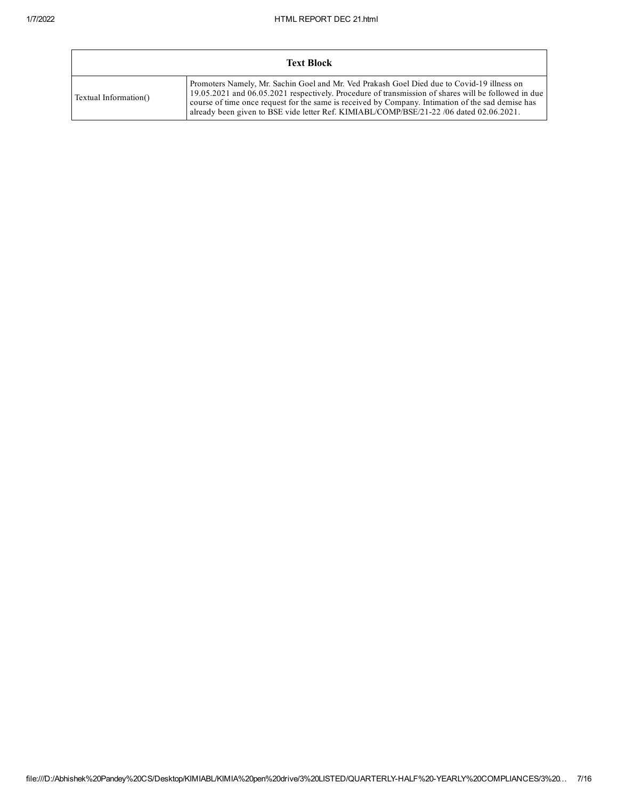|                       | <b>Text Block</b>                                                                                                                                                                                                                                                                                                                                                                                 |
|-----------------------|---------------------------------------------------------------------------------------------------------------------------------------------------------------------------------------------------------------------------------------------------------------------------------------------------------------------------------------------------------------------------------------------------|
| Textual Information() | Promoters Namely, Mr. Sachin Goel and Mr. Ved Prakash Goel Died due to Covid-19 illness on<br>19.05.2021 and 06.05.2021 respectively. Procedure of transmission of shares will be followed in due<br>course of time once request for the same is received by Company. Intimation of the sad demise has<br>already been given to BSE vide letter Ref. KIMIABL/COMP/BSE/21-22 /06 dated 02.06.2021. |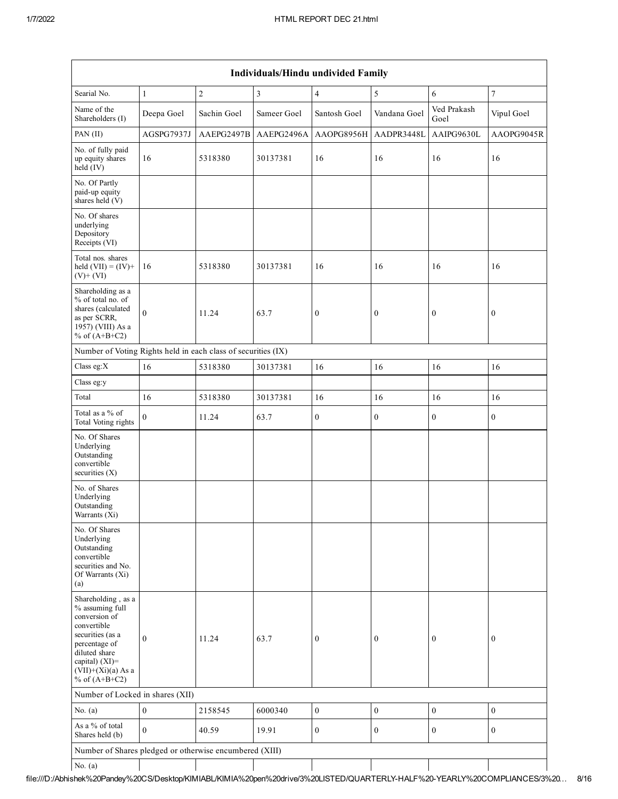|                                                                                                                                                                                          | Individuals/Hindu undivided Family |             |                |                  |                  |                     |                  |  |  |  |
|------------------------------------------------------------------------------------------------------------------------------------------------------------------------------------------|------------------------------------|-------------|----------------|------------------|------------------|---------------------|------------------|--|--|--|
| Searial No.                                                                                                                                                                              | $\mathbf{1}$                       | $\sqrt{2}$  | $\mathfrak{Z}$ | $\overline{4}$   | $\sqrt{5}$       | 6                   | $\tau$           |  |  |  |
| Name of the<br>Shareholders (I)                                                                                                                                                          | Deepa Goel                         | Sachin Goel | Sameer Goel    | Santosh Goel     | Vandana Goel     | Ved Prakash<br>Goel | Vipul Goel       |  |  |  |
| PAN (II)                                                                                                                                                                                 | AGSPG7937J                         | AAEPG2497B  | AAEPG2496A     | AAOPG8956H       | AADPR3448L       | AAIPG9630L          | AAOPG9045R       |  |  |  |
| No. of fully paid<br>up equity shares<br>$held$ (IV)                                                                                                                                     | 16                                 | 5318380     | 30137381       | 16               | 16               | 16                  | 16               |  |  |  |
| No. Of Partly<br>paid-up equity<br>shares held (V)                                                                                                                                       |                                    |             |                |                  |                  |                     |                  |  |  |  |
| No. Of shares<br>underlying<br>Depository<br>Receipts (VI)                                                                                                                               |                                    |             |                |                  |                  |                     |                  |  |  |  |
| Total nos. shares<br>held $(VII) = (IV) +$<br>$(V)$ + $(VI)$                                                                                                                             | 16                                 | 5318380     | 30137381       | 16               | 16               | 16                  | 16               |  |  |  |
| Shareholding as a<br>% of total no. of<br>shares (calculated<br>as per SCRR,<br>1957) (VIII) As a<br>% of $(A+B+C2)$                                                                     | $\boldsymbol{0}$                   | 11.24       | 63.7           | $\boldsymbol{0}$ | $\boldsymbol{0}$ | $\boldsymbol{0}$    | $\bf{0}$         |  |  |  |
| Number of Voting Rights held in each class of securities (IX)                                                                                                                            |                                    |             |                |                  |                  |                     |                  |  |  |  |
| Class eg: $X$                                                                                                                                                                            | 16                                 | 5318380     | 30137381       | 16               | 16               | 16                  | 16               |  |  |  |
| Class eg:y                                                                                                                                                                               |                                    |             |                |                  |                  |                     |                  |  |  |  |
| Total                                                                                                                                                                                    | 16                                 | 5318380     | 30137381       | 16               | 16               | 16                  | 16               |  |  |  |
| Total as a % of<br>Total Voting rights                                                                                                                                                   | $\overline{0}$                     | 11.24       | 63.7           | $\boldsymbol{0}$ | $\boldsymbol{0}$ | $\boldsymbol{0}$    | $\boldsymbol{0}$ |  |  |  |
| No. Of Shares<br>Underlying<br>Outstanding<br>convertible<br>securities $(X)$                                                                                                            |                                    |             |                |                  |                  |                     |                  |  |  |  |
| No. of Shares<br>Underlying<br>Outstanding<br>Warrants (Xi)                                                                                                                              |                                    |             |                |                  |                  |                     |                  |  |  |  |
| No. Of Shares<br>Underlying<br>Outstanding<br>convertible<br>securities and No.<br>Of Warrants (Xi)<br>(a)                                                                               |                                    |             |                |                  |                  |                     |                  |  |  |  |
| Shareholding, as a<br>% assuming full<br>conversion of<br>convertible<br>securities (as a<br>percentage of<br>diluted share<br>capital) (XI)=<br>$(VII)+(Xi)(a)$ As a<br>% of $(A+B+C2)$ | $\overline{0}$                     | 11.24       | 63.7           | $\mathbf{0}$     | $\boldsymbol{0}$ | $\boldsymbol{0}$    | $\mathbf{0}$     |  |  |  |
| Number of Locked in shares (XII)                                                                                                                                                         |                                    |             |                |                  |                  |                     |                  |  |  |  |
| No. $(a)$                                                                                                                                                                                | $\boldsymbol{0}$                   | 2158545     | 6000340        | $\boldsymbol{0}$ | $\boldsymbol{0}$ | $\boldsymbol{0}$    | $\boldsymbol{0}$ |  |  |  |
| As a % of total<br>Shares held (b)                                                                                                                                                       | $\overline{0}$                     | 40.59       | 19.91          | $\boldsymbol{0}$ | $\boldsymbol{0}$ | $\boldsymbol{0}$    | $\boldsymbol{0}$ |  |  |  |
| Number of Shares pledged or otherwise encumbered (XIII)                                                                                                                                  |                                    |             |                |                  |                  |                     |                  |  |  |  |
| No. $(a)$                                                                                                                                                                                |                                    |             |                |                  |                  |                     |                  |  |  |  |

file:///D:/Abhishek%20Pandey%20CS/Desktop/KIMIABL/KIMIA%20pen%20drive/3%20LISTED/QUARTERLYHALF%20YEARLY%20COMPLIANCES/3%20… 8/16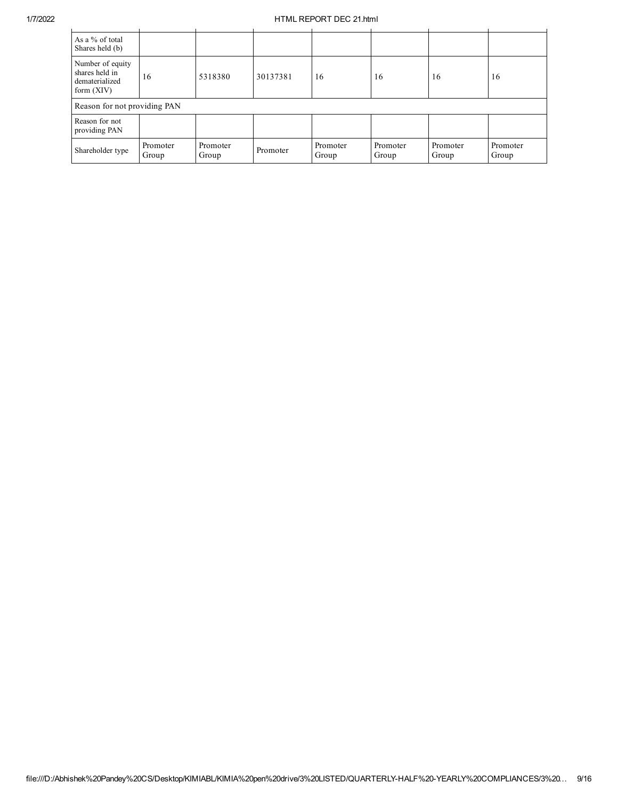## 1/7/2022 HTML REPORT DEC 21.html

| As a % of total<br>Shares held (b)                                   |                   |                   |          |                   |                   |                   |                   |
|----------------------------------------------------------------------|-------------------|-------------------|----------|-------------------|-------------------|-------------------|-------------------|
| Number of equity<br>shares held in<br>dematerialized<br>form $(XIV)$ | 16                | 5318380           | 30137381 | 16                | 16                | 16                | 16                |
| Reason for not providing PAN                                         |                   |                   |          |                   |                   |                   |                   |
| Reason for not<br>providing PAN                                      |                   |                   |          |                   |                   |                   |                   |
| Shareholder type                                                     | Promoter<br>Group | Promoter<br>Group | Promoter | Promoter<br>Group | Promoter<br>Group | Promoter<br>Group | Promoter<br>Group |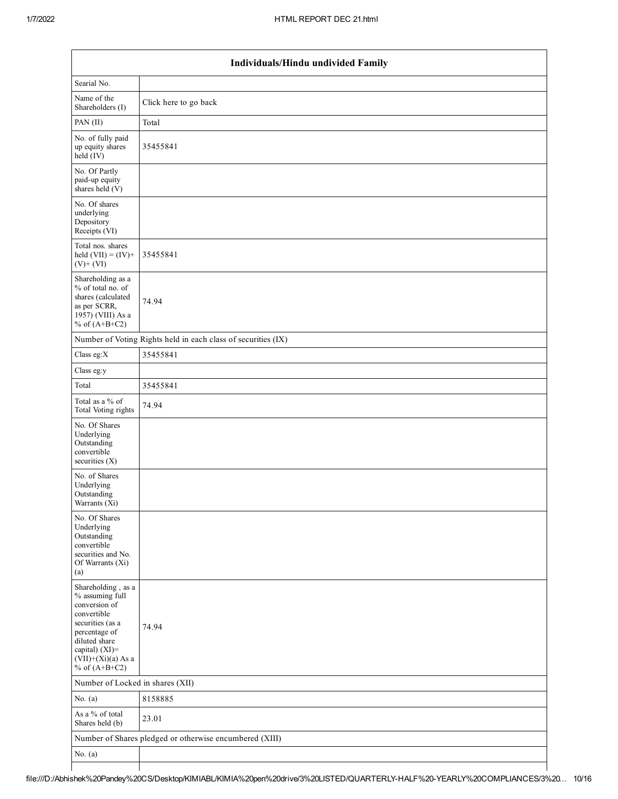|                                                                                                                                                                                          | Individuals/Hindu undivided Family                            |  |  |  |  |  |  |  |
|------------------------------------------------------------------------------------------------------------------------------------------------------------------------------------------|---------------------------------------------------------------|--|--|--|--|--|--|--|
| Searial No.                                                                                                                                                                              |                                                               |  |  |  |  |  |  |  |
| Name of the<br>Shareholders (I)                                                                                                                                                          | Click here to go back                                         |  |  |  |  |  |  |  |
| PAN (II)                                                                                                                                                                                 | Total                                                         |  |  |  |  |  |  |  |
| No. of fully paid<br>up equity shares<br>held $(IV)$                                                                                                                                     | 35455841                                                      |  |  |  |  |  |  |  |
| No. Of Partly<br>paid-up equity<br>shares held $(V)$                                                                                                                                     |                                                               |  |  |  |  |  |  |  |
| No. Of shares<br>underlying<br>Depository<br>Receipts (VI)                                                                                                                               |                                                               |  |  |  |  |  |  |  |
| Total nos. shares<br>held $(VII) = (IV) +$<br>$(V)+(VI)$                                                                                                                                 | 35455841                                                      |  |  |  |  |  |  |  |
| Shareholding as a<br>% of total no. of<br>shares (calculated<br>as per SCRR,<br>1957) (VIII) As a<br>% of $(A+B+C2)$                                                                     | 74.94                                                         |  |  |  |  |  |  |  |
|                                                                                                                                                                                          | Number of Voting Rights held in each class of securities (IX) |  |  |  |  |  |  |  |
| Class eg: $X$                                                                                                                                                                            | 35455841                                                      |  |  |  |  |  |  |  |
| Class eg:y                                                                                                                                                                               |                                                               |  |  |  |  |  |  |  |
| Total                                                                                                                                                                                    | 35455841                                                      |  |  |  |  |  |  |  |
| Total as a % of<br>Total Voting rights                                                                                                                                                   | 74.94                                                         |  |  |  |  |  |  |  |
| No. Of Shares<br>Underlying<br>Outstanding<br>convertible<br>securities $(X)$                                                                                                            |                                                               |  |  |  |  |  |  |  |
| No. of Shares<br>Underlying<br>Outstanding<br>Warrants (X1)                                                                                                                              |                                                               |  |  |  |  |  |  |  |
| No. Of Shares<br>Underlying<br>Outstanding<br>convertible<br>securities and No.<br>Of Warrants (Xi)<br>(a)                                                                               |                                                               |  |  |  |  |  |  |  |
| Shareholding, as a<br>% assuming full<br>conversion of<br>convertible<br>securities (as a<br>percentage of<br>diluted share<br>capital) (XI)=<br>$(VII)+(Xi)(a)$ As a<br>% of $(A+B+C2)$ | 74.94                                                         |  |  |  |  |  |  |  |
| Number of Locked in shares (XII)                                                                                                                                                         |                                                               |  |  |  |  |  |  |  |
| No. $(a)$                                                                                                                                                                                | 8158885                                                       |  |  |  |  |  |  |  |
| As a % of total<br>Shares held (b)                                                                                                                                                       | 23.01                                                         |  |  |  |  |  |  |  |
|                                                                                                                                                                                          | Number of Shares pledged or otherwise encumbered (XIII)       |  |  |  |  |  |  |  |
| No. $(a)$                                                                                                                                                                                |                                                               |  |  |  |  |  |  |  |
|                                                                                                                                                                                          |                                                               |  |  |  |  |  |  |  |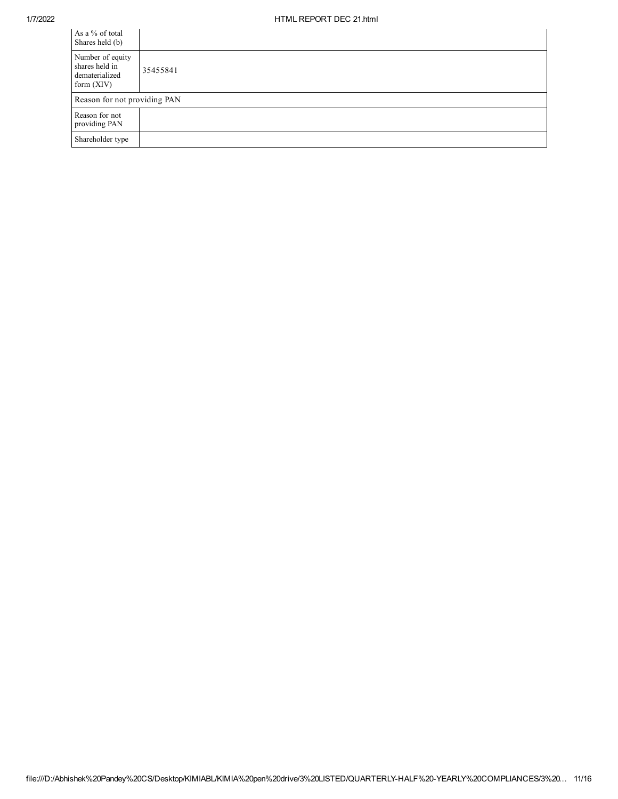$\mathcal{L}_{\mathcal{A}}$ 

| As a % of total<br>Shares held (b)                                   |          |
|----------------------------------------------------------------------|----------|
| Number of equity<br>shares held in<br>dematerialized<br>form $(XIV)$ | 35455841 |
| Reason for not providing PAN                                         |          |
| Reason for not<br>providing PAN                                      |          |
| Shareholder type                                                     |          |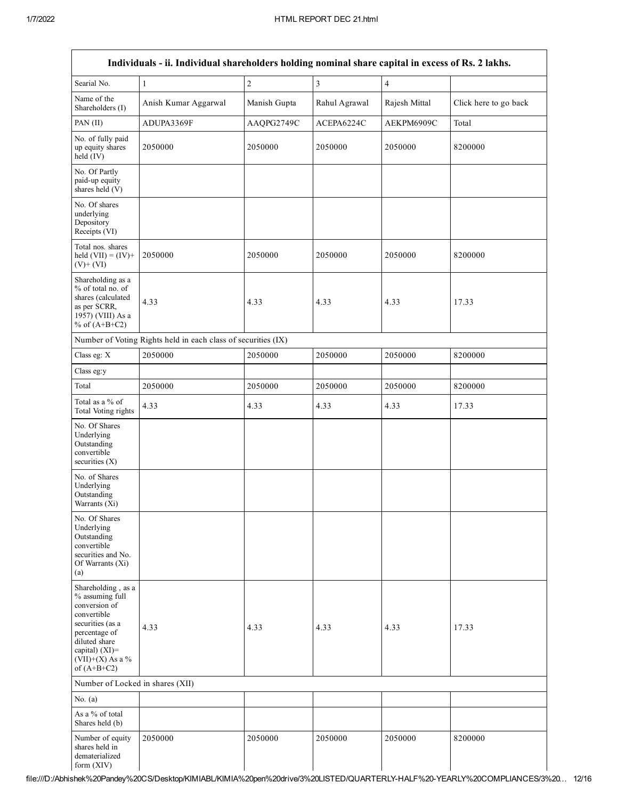| Searial No.                                                                                                                                                                          | Individuals - ii. Individual shareholders holding nominal share capital in excess of Rs. 2 lakhs. | $\overline{c}$ | $\overline{3}$ | $\overline{4}$ |                       |
|--------------------------------------------------------------------------------------------------------------------------------------------------------------------------------------|---------------------------------------------------------------------------------------------------|----------------|----------------|----------------|-----------------------|
|                                                                                                                                                                                      | $\mathbf{1}$                                                                                      |                |                |                |                       |
| Name of the<br>Shareholders (I)                                                                                                                                                      | Anish Kumar Aggarwal                                                                              | Manish Gupta   | Rahul Agrawal  | Rajesh Mittal  | Click here to go back |
| PAN (II)                                                                                                                                                                             | ADUPA3369F                                                                                        | AAQPG2749C     | ACEPA6224C     | AEKPM6909C     | Total                 |
| No. of fully paid<br>up equity shares<br>held (IV)                                                                                                                                   | 2050000                                                                                           | 2050000        | 2050000        | 2050000        | 8200000               |
| No. Of Partly<br>paid-up equity<br>shares held (V)                                                                                                                                   |                                                                                                   |                |                |                |                       |
| No. Of shares<br>underlying<br>Depository<br>Receipts (VI)                                                                                                                           |                                                                                                   |                |                |                |                       |
| Total nos. shares<br>held $(VII) = (IV) +$<br>$(V)$ + $(VI)$                                                                                                                         | 2050000                                                                                           | 2050000        | 2050000        | 2050000        | 8200000               |
| Shareholding as a<br>% of total no. of<br>shares (calculated<br>as per SCRR,<br>1957) (VIII) As a<br>% of $(A+B+C2)$                                                                 | 4.33                                                                                              | 4.33           | 4.33           | 4.33           | 17.33                 |
|                                                                                                                                                                                      | Number of Voting Rights held in each class of securities (IX)                                     |                |                |                |                       |
| Class eg: X                                                                                                                                                                          | 2050000                                                                                           | 2050000        | 2050000        | 2050000        | 8200000               |
| Class eg:y                                                                                                                                                                           |                                                                                                   |                |                |                |                       |
| Total                                                                                                                                                                                | 2050000                                                                                           | 2050000        | 2050000        | 2050000        | 8200000               |
| Total as a % of<br>Total Voting rights                                                                                                                                               | 4.33                                                                                              | 4.33           | 4.33           | 4.33           | 17.33                 |
| No. Of Shares<br>Underlying<br>Outstanding<br>convertible<br>securities (X)                                                                                                          |                                                                                                   |                |                |                |                       |
| No. of Shares<br>Underlying<br>Outstanding<br>Warrants (Xi)                                                                                                                          |                                                                                                   |                |                |                |                       |
| No. Of Shares<br>Underlying<br>Outstanding<br>convertible<br>securities and No.<br>Of Warrants (Xi)<br>(a)                                                                           |                                                                                                   |                |                |                |                       |
| Shareholding, as a<br>% assuming full<br>conversion of<br>convertible<br>securities (as a<br>percentage of<br>diluted share<br>capital) (XI)=<br>$(VII)+(X)$ As a %<br>of $(A+B+C2)$ | 4.33                                                                                              | 4.33           | 4.33           | 4.33           | 17.33                 |
| Number of Locked in shares (XII)                                                                                                                                                     |                                                                                                   |                |                |                |                       |
| No. $(a)$                                                                                                                                                                            |                                                                                                   |                |                |                |                       |
| As a % of total<br>Shares held (b)                                                                                                                                                   |                                                                                                   |                |                |                |                       |
| Number of equity<br>shares held in<br>dematerialized<br>form (XIV)                                                                                                                   | 2050000                                                                                           | 2050000        | 2050000        | 2050000        | 8200000               |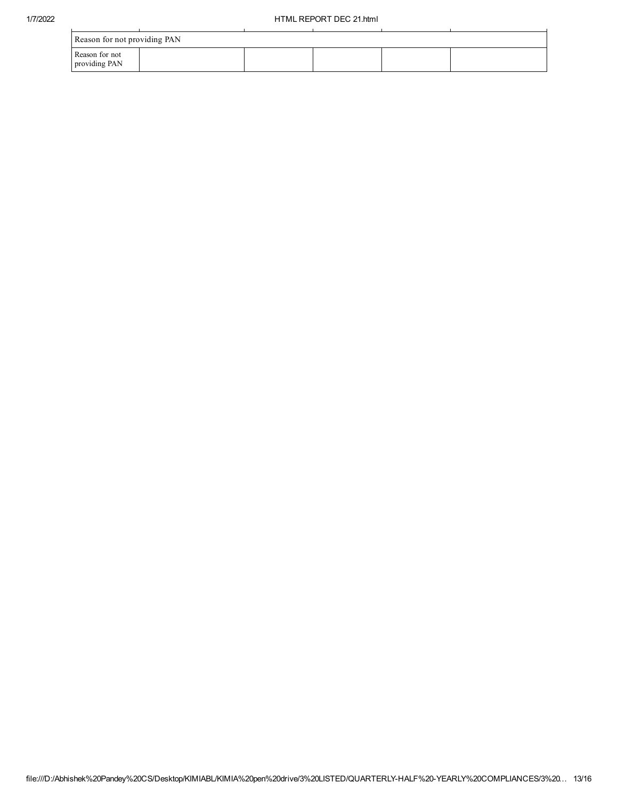| Reason for not providing PAN    |  |  |  |  |  |  |  |
|---------------------------------|--|--|--|--|--|--|--|
| Reason for not<br>providing PAN |  |  |  |  |  |  |  |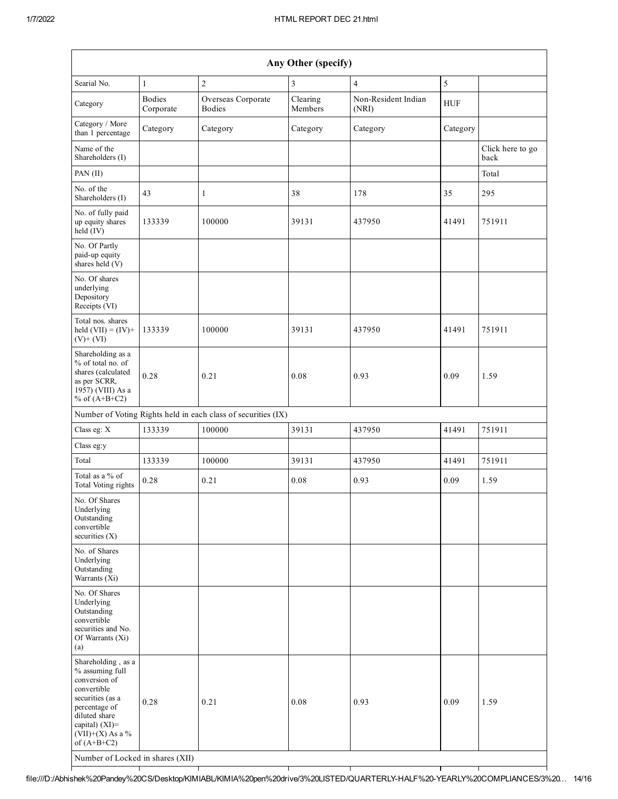| Any Other (specify)                                                                                                                                                                  |                            |                                                               |                     |                              |            |                          |  |
|--------------------------------------------------------------------------------------------------------------------------------------------------------------------------------------|----------------------------|---------------------------------------------------------------|---------------------|------------------------------|------------|--------------------------|--|
| Searial No.                                                                                                                                                                          | 1                          | $\sqrt{2}$                                                    | $\mathfrak{Z}$      | $\overline{4}$               | 5          |                          |  |
| Category                                                                                                                                                                             | <b>Bodies</b><br>Corporate | Overseas Corporate<br><b>Bodies</b>                           | Clearing<br>Members | Non-Resident Indian<br>(NRI) | <b>HUF</b> |                          |  |
| Category / More<br>than 1 percentage                                                                                                                                                 | Category                   | Category                                                      | Category            | Category                     | Category   |                          |  |
| Name of the<br>Shareholders (I)                                                                                                                                                      |                            |                                                               |                     |                              |            | Click here to go<br>back |  |
| PAN (II)                                                                                                                                                                             |                            |                                                               |                     |                              |            | Total                    |  |
| No. of the<br>Shareholders (I)                                                                                                                                                       | 43                         | $\mathbf{1}$                                                  | 38                  | 178                          | 35         | 295                      |  |
| No. of fully paid<br>up equity shares<br>held (IV)                                                                                                                                   | 133339                     | 100000                                                        | 39131               | 437950                       | 41491      | 751911                   |  |
| No. Of Partly<br>paid-up equity<br>shares held $(V)$                                                                                                                                 |                            |                                                               |                     |                              |            |                          |  |
| No. Of shares<br>underlying<br>Depository<br>Receipts (VI)                                                                                                                           |                            |                                                               |                     |                              |            |                          |  |
| Total nos. shares<br>held $(VII) = (IV) +$<br>$(V)$ + $(VI)$                                                                                                                         | 133339                     | 100000                                                        | 39131               | 437950                       | 41491      | 751911                   |  |
| Shareholding as a<br>% of total no. of<br>shares (calculated<br>as per SCRR,<br>1957) (VIII) As a<br>% of $(A+B+C2)$                                                                 | 0.28                       | 0.21                                                          | 0.08                | 0.93                         | 0.09       | 1.59                     |  |
|                                                                                                                                                                                      |                            | Number of Voting Rights held in each class of securities (IX) |                     |                              |            |                          |  |
| Class eg: X                                                                                                                                                                          | 133339                     | 100000                                                        | 39131               | 437950                       | 41491      | 751911                   |  |
| Class eg:y                                                                                                                                                                           |                            |                                                               |                     |                              |            |                          |  |
| Total                                                                                                                                                                                | 133339                     | 100000                                                        | 39131               | 437950                       | 41491      | 751911                   |  |
| Total as a % of<br>Total Voting rights                                                                                                                                               | 0.28                       | 0.21                                                          | 0.08                | 0.93                         | 0.09       | 1.59                     |  |
| No. Of Shares<br>Underlying<br>Outstanding<br>convertible<br>securities $(X)$                                                                                                        |                            |                                                               |                     |                              |            |                          |  |
| No. of Shares<br>Underlying<br>Outstanding<br>Warrants (Xi)                                                                                                                          |                            |                                                               |                     |                              |            |                          |  |
| No. Of Shares<br>Underlying<br>Outstanding<br>convertible<br>securities and No.<br>Of Warrants (Xi)<br>(a)                                                                           |                            |                                                               |                     |                              |            |                          |  |
| Shareholding, as a<br>% assuming full<br>conversion of<br>convertible<br>securities (as a<br>percentage of<br>diluted share<br>capital) (XI)=<br>$(VII)+(X)$ As a %<br>of $(A+B+C2)$ | 0.28                       | 0.21                                                          | 0.08                | 0.93                         | 0.09       | 1.59                     |  |
| Number of Locked in shares (XII)                                                                                                                                                     |                            |                                                               |                     |                              |            |                          |  |

file:///D:/Abhishek%20Pandey%20CS/Desktop/KIMIABL/KIMIA%20pen%20drive/3%20LISTED/QUARTERLYHALF%20YEARLY%20COMPLIANCES/3%20… 14/16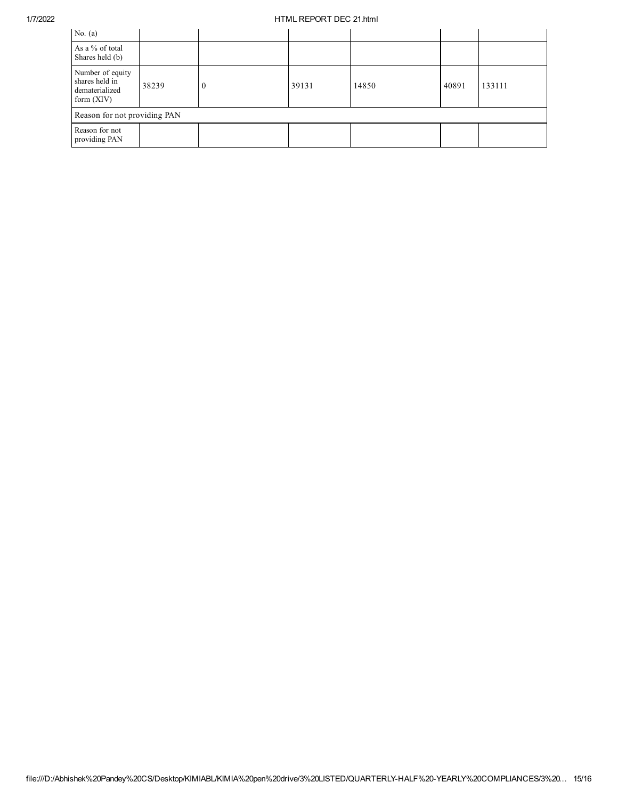## 1/7/2022 HTML REPORT DEC 21.html

| No. $(a)$                                                            |       |                |       |       |       |        |  |
|----------------------------------------------------------------------|-------|----------------|-------|-------|-------|--------|--|
| As a % of total<br>Shares held (b)                                   |       |                |       |       |       |        |  |
| Number of equity<br>shares held in<br>dematerialized<br>form $(XIV)$ | 38239 | $\overline{0}$ | 39131 | 14850 | 40891 | 133111 |  |
| Reason for not providing PAN                                         |       |                |       |       |       |        |  |
| Reason for not<br>providing PAN                                      |       |                |       |       |       |        |  |